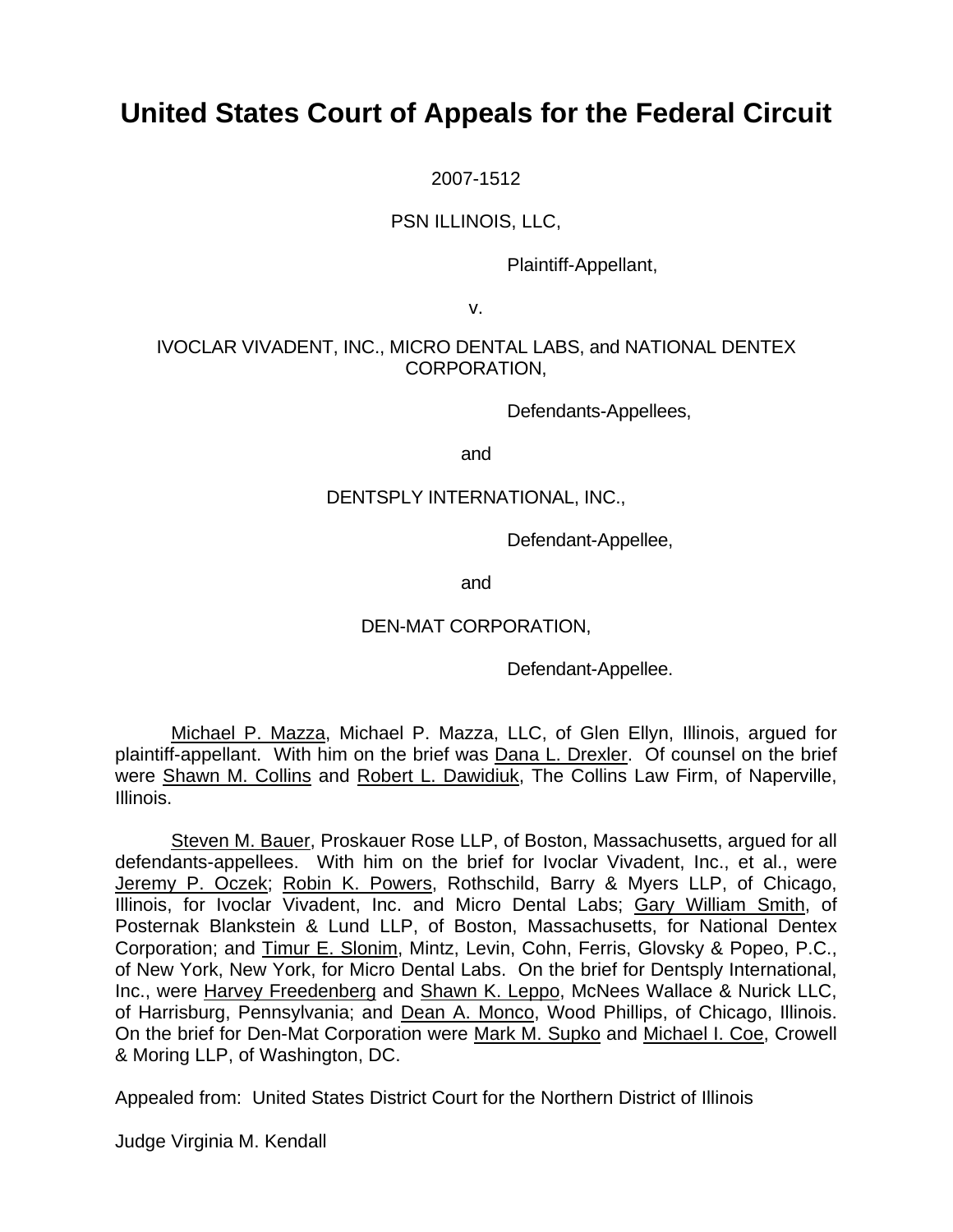# **United States Court of Appeals for the Federal Circuit**

2007-1512

## PSN ILLINOIS, LLC,

Plaintiff-Appellant,

v.

## IVOCLAR VIVADENT, INC., MICRO DENTAL LABS, and NATIONAL DENTEX CORPORATION,

Defendants-Appellees,

and

## DENTSPLY INTERNATIONAL, INC.,

Defendant-Appellee,

and

## DEN-MAT CORPORATION,

Defendant-Appellee.

Michael P. Mazza, Michael P. Mazza, LLC, of Glen Ellyn, Illinois, argued for plaintiff-appellant. With him on the brief was Dana L. Drexler. Of counsel on the brief were Shawn M. Collins and Robert L. Dawidiuk, The Collins Law Firm, of Naperville, Illinois.

Steven M. Bauer, Proskauer Rose LLP, of Boston, Massachusetts, argued for all defendants-appellees. With him on the brief for Ivoclar Vivadent, Inc., et al., were Jeremy P. Oczek; Robin K. Powers, Rothschild, Barry & Myers LLP, of Chicago, Illinois, for Ivoclar Vivadent, Inc. and Micro Dental Labs; Gary William Smith, of Posternak Blankstein & Lund LLP, of Boston, Massachusetts, for National Dentex Corporation; and Timur E. Slonim, Mintz, Levin, Cohn, Ferris, Glovsky & Popeo, P.C., of New York, New York, for Micro Dental Labs. On the brief for Dentsply International, Inc., were Harvey Freedenberg and Shawn K. Leppo, McNees Wallace & Nurick LLC, of Harrisburg, Pennsylvania; and Dean A. Monco, Wood Phillips, of Chicago, Illinois. On the brief for Den-Mat Corporation were Mark M. Supko and Michael I. Coe, Crowell & Moring LLP, of Washington, DC.

Appealed from: United States District Court for the Northern District of Illinois

Judge Virginia M. Kendall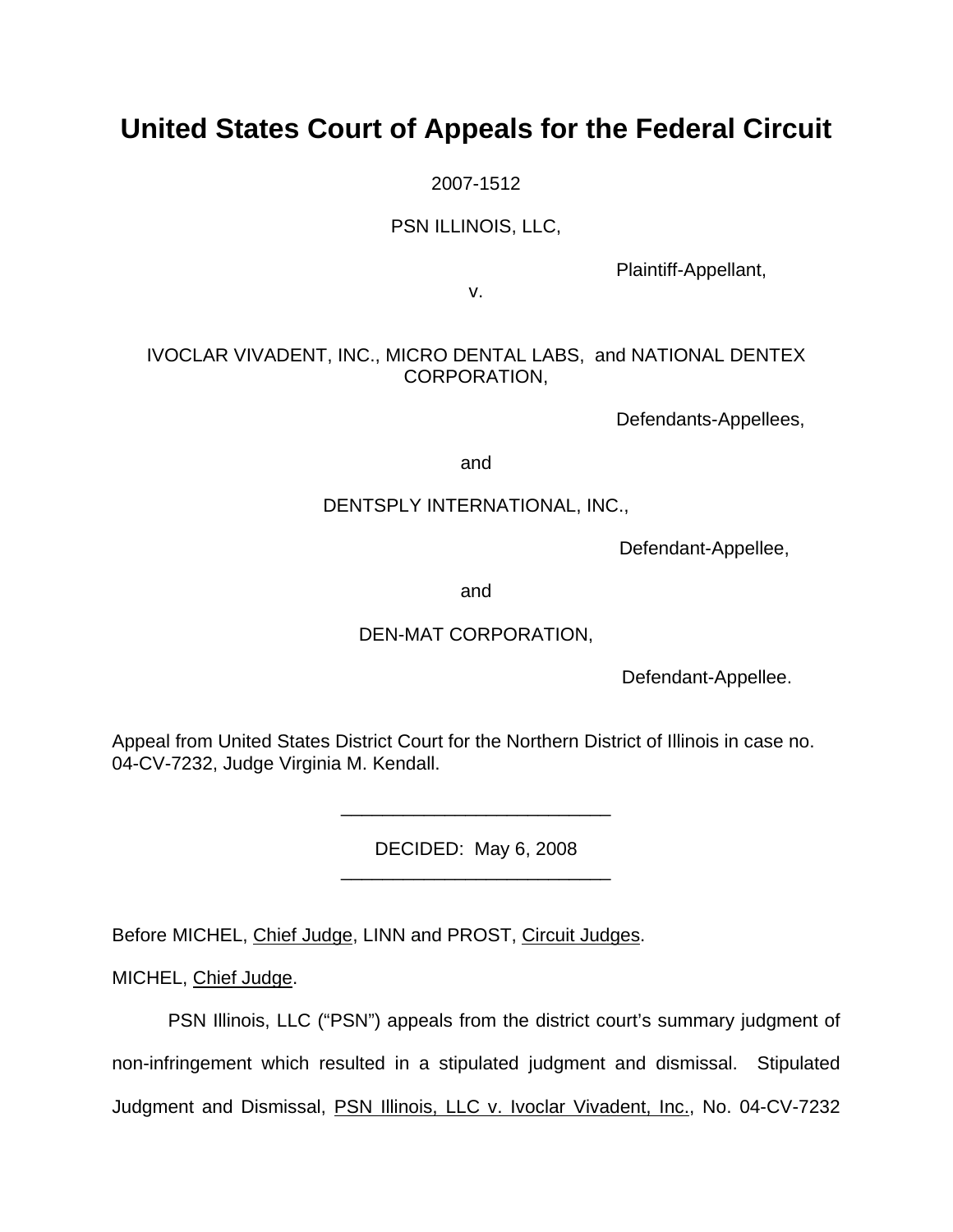# **United States Court of Appeals for the Federal Circuit**

2007-1512

PSN ILLINOIS, LLC,

Plaintiff-Appellant,

v.

# IVOCLAR VIVADENT, INC., MICRO DENTAL LABS, and NATIONAL DENTEX CORPORATION,

Defendants-Appellees,

and

# DENTSPLY INTERNATIONAL, INC.,

Defendant-Appellee,

and

# DEN-MAT CORPORATION,

Defendant-Appellee.

Appeal from United States District Court for the Northern District of Illinois in case no. 04-CV-7232, Judge Virginia M. Kendall.

> DECIDED: May 6, 2008 \_\_\_\_\_\_\_\_\_\_\_\_\_\_\_\_\_\_\_\_\_\_\_\_\_\_

> \_\_\_\_\_\_\_\_\_\_\_\_\_\_\_\_\_\_\_\_\_\_\_\_\_\_

Before MICHEL, Chief Judge, LINN and PROST, Circuit Judges.

MICHEL, Chief Judge.

 PSN Illinois, LLC ("PSN") appeals from the district court's summary judgment of non-infringement which resulted in a stipulated judgment and dismissal. Stipulated Judgment and Dismissal, PSN Illinois, LLC v. Ivoclar Vivadent, Inc., No. 04-CV-7232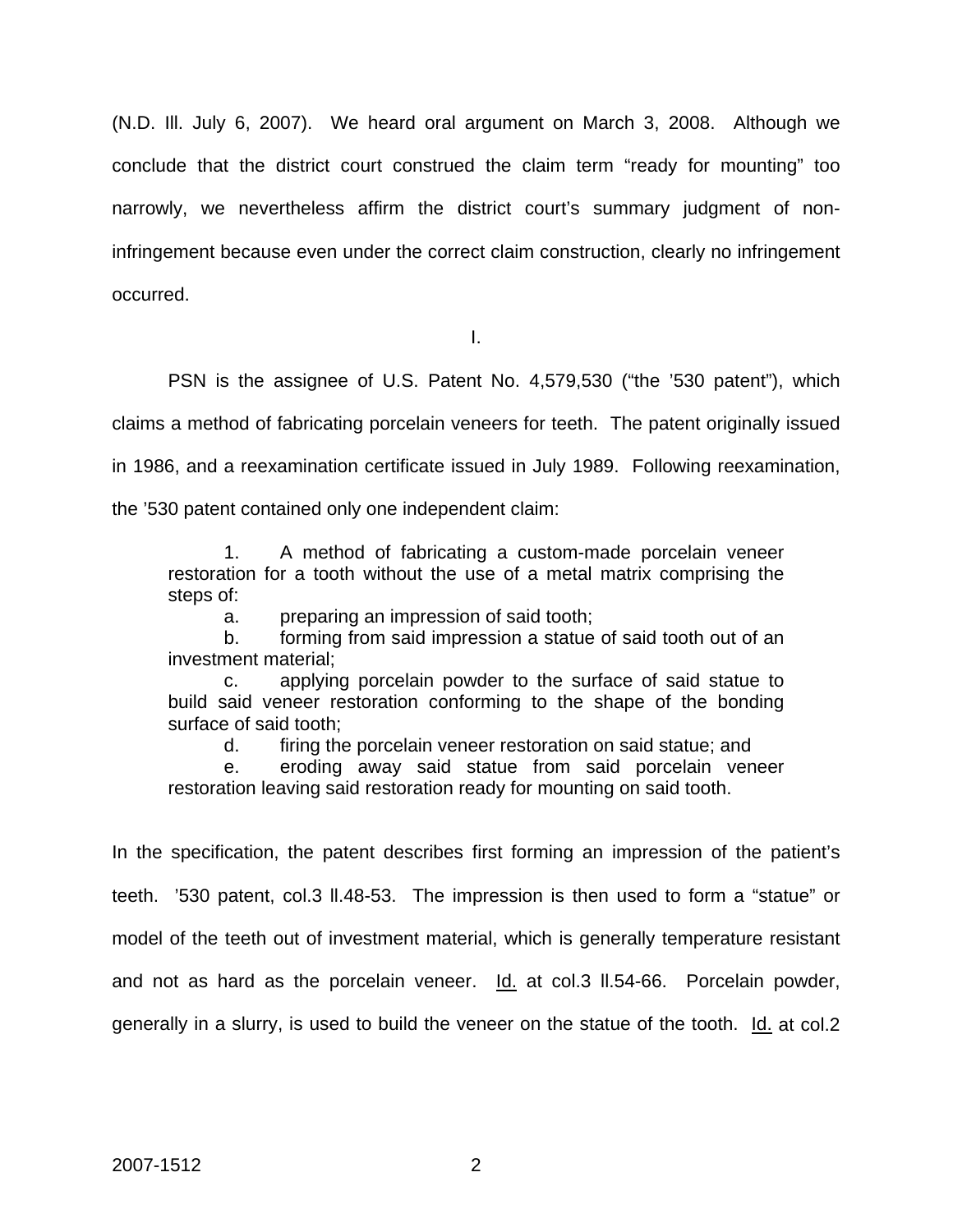(N.D. Ill. July 6, 2007). We heard oral argument on March 3, 2008. Although we conclude that the district court construed the claim term "ready for mounting" too narrowly, we nevertheless affirm the district court's summary judgment of noninfringement because even under the correct claim construction, clearly no infringement occurred.

I.

 PSN is the assignee of U.S. Patent No. 4,579,530 ("the '530 patent"), which claims a method of fabricating porcelain veneers for teeth. The patent originally issued in 1986, and a reexamination certificate issued in July 1989. Following reexamination, the '530 patent contained only one independent claim:

 1. A method of fabricating a custom-made porcelain veneer restoration for a tooth without the use of a metal matrix comprising the steps of:

a. preparing an impression of said tooth;

 b. forming from said impression a statue of said tooth out of an investment material;

 c. applying porcelain powder to the surface of said statue to build said veneer restoration conforming to the shape of the bonding surface of said tooth;

d. firing the porcelain veneer restoration on said statue; and

 e. eroding away said statue from said porcelain veneer restoration leaving said restoration ready for mounting on said tooth.

In the specification, the patent describes first forming an impression of the patient's teeth. '530 patent, col.3 ll.48-53. The impression is then used to form a "statue" or model of the teeth out of investment material, which is generally temperature resistant and not as hard as the porcelain veneer.  $\underline{Id}$  at col.3 II.54-66. Porcelain powder, generally in a slurry, is used to build the veneer on the statue of the tooth. Id. at col.2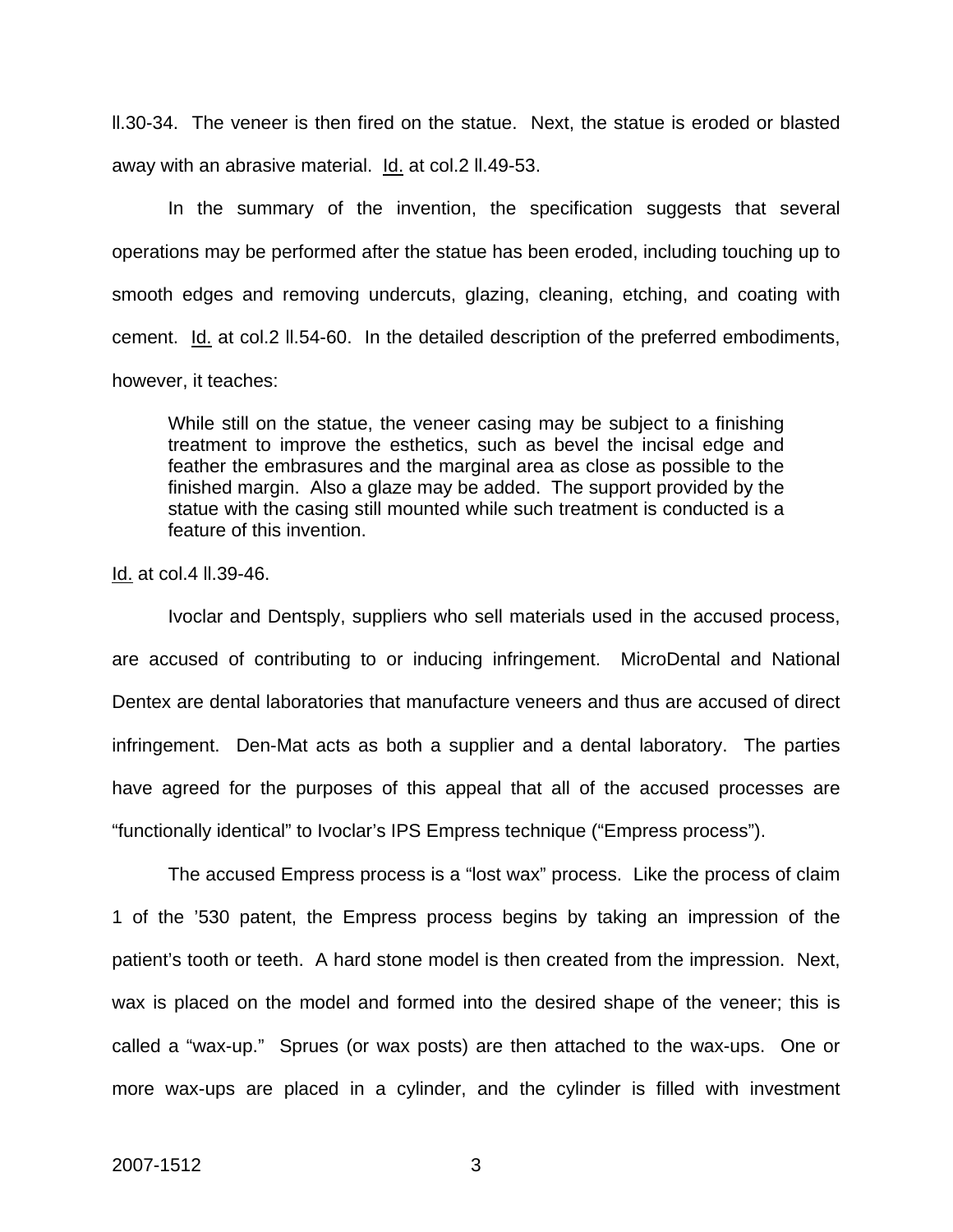ll.30-34. The veneer is then fired on the statue. Next, the statue is eroded or blasted away with an abrasive material. Id. at col.2 ll.49-53.

In the summary of the invention, the specification suggests that several operations may be performed after the statue has been eroded, including touching up to smooth edges and removing undercuts, glazing, cleaning, etching, and coating with cement. Id. at col.2 ll.54-60. In the detailed description of the preferred embodiments, however, it teaches:

While still on the statue, the veneer casing may be subject to a finishing treatment to improve the esthetics, such as bevel the incisal edge and feather the embrasures and the marginal area as close as possible to the finished margin. Also a glaze may be added. The support provided by the statue with the casing still mounted while such treatment is conducted is a feature of this invention.

Id. at col.4 ll.39-46.

 Ivoclar and Dentsply, suppliers who sell materials used in the accused process, are accused of contributing to or inducing infringement. MicroDental and National Dentex are dental laboratories that manufacture veneers and thus are accused of direct infringement. Den-Mat acts as both a supplier and a dental laboratory. The parties have agreed for the purposes of this appeal that all of the accused processes are "functionally identical" to Ivoclar's IPS Empress technique ("Empress process").

 The accused Empress process is a "lost wax" process. Like the process of claim 1 of the '530 patent, the Empress process begins by taking an impression of the patient's tooth or teeth. A hard stone model is then created from the impression. Next, wax is placed on the model and formed into the desired shape of the veneer; this is called a "wax-up." Sprues (or wax posts) are then attached to the wax-ups. One or more wax-ups are placed in a cylinder, and the cylinder is filled with investment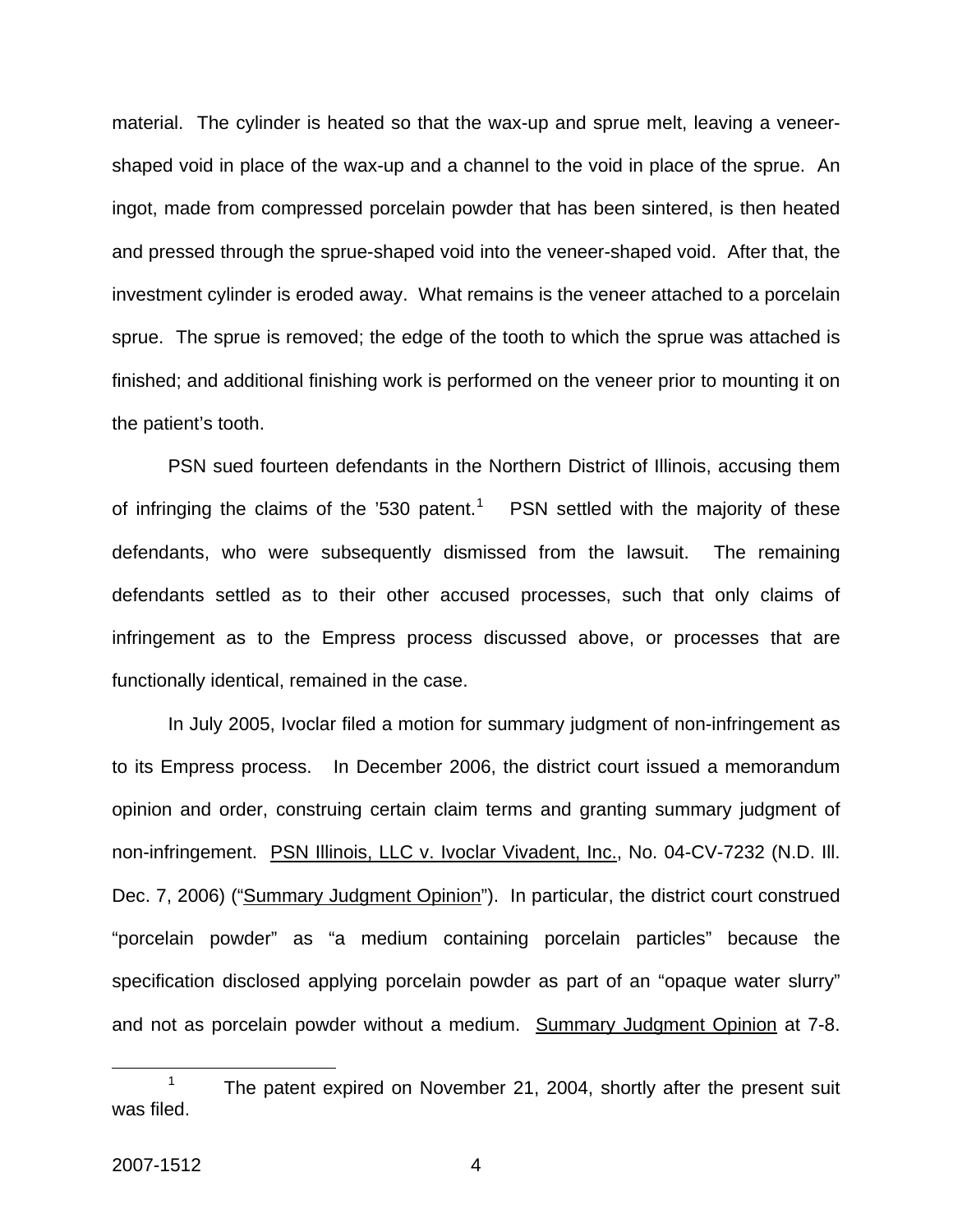material. The cylinder is heated so that the wax-up and sprue melt, leaving a veneershaped void in place of the wax-up and a channel to the void in place of the sprue. An ingot, made from compressed porcelain powder that has been sintered, is then heated and pressed through the sprue-shaped void into the veneer-shaped void. After that, the investment cylinder is eroded away. What remains is the veneer attached to a porcelain sprue. The sprue is removed; the edge of the tooth to which the sprue was attached is finished; and additional finishing work is performed on the veneer prior to mounting it on the patient's tooth.

PSN sued fourteen defendants in the Northern District of Illinois, accusing them of infringing the claims of the '530 patent.<sup>[1](#page-4-0)</sup> PSN settled with the majority of these defendants, who were subsequently dismissed from the lawsuit. The remaining defendants settled as to their other accused processes, such that only claims of infringement as to the Empress process discussed above, or processes that are functionally identical, remained in the case.

 In July 2005, Ivoclar filed a motion for summary judgment of non-infringement as to its Empress process. In December 2006, the district court issued a memorandum opinion and order, construing certain claim terms and granting summary judgment of non-infringement. PSN Illinois, LLC v. Ivoclar Vivadent, Inc., No. 04-CV-7232 (N.D. Ill. Dec. 7, 2006) ("Summary Judgment Opinion"). In particular, the district court construed "porcelain powder" as "a medium containing porcelain particles" because the specification disclosed applying porcelain powder as part of an "opaque water slurry" and not as porcelain powder without a medium. Summary Judgment Opinion at 7-8.

<span id="page-4-0"></span> $\frac{1}{1}$ <sup>1</sup> The patent expired on November 21, 2004, shortly after the present suit was filed.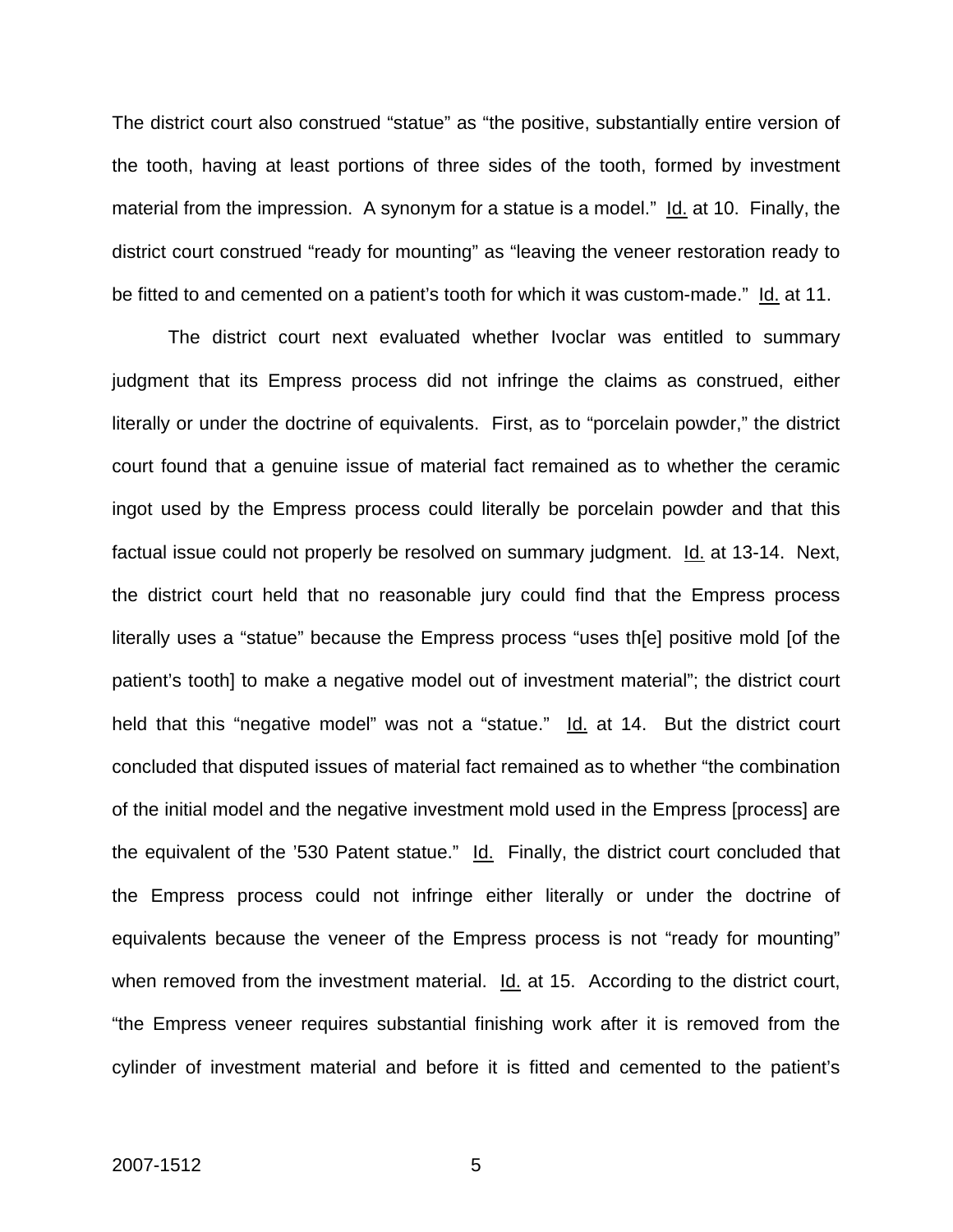The district court also construed "statue" as "the positive, substantially entire version of the tooth, having at least portions of three sides of the tooth, formed by investment material from the impression. A synonym for a statue is a model." Id. at 10. Finally, the district court construed "ready for mounting" as "leaving the veneer restoration ready to be fitted to and cemented on a patient's tooth for which it was custom-made." Id. at 11.

 The district court next evaluated whether Ivoclar was entitled to summary judgment that its Empress process did not infringe the claims as construed, either literally or under the doctrine of equivalents. First, as to "porcelain powder," the district court found that a genuine issue of material fact remained as to whether the ceramic ingot used by the Empress process could literally be porcelain powder and that this factual issue could not properly be resolved on summary judgment. Id. at 13-14. Next, the district court held that no reasonable jury could find that the Empress process literally uses a "statue" because the Empress process "uses th[e] positive mold [of the patient's tooth] to make a negative model out of investment material"; the district court held that this "negative model" was not a "statue." Id. at 14. But the district court concluded that disputed issues of material fact remained as to whether "the combination of the initial model and the negative investment mold used in the Empress [process] are the equivalent of the '530 Patent statue." Id. Finally, the district court concluded that the Empress process could not infringe either literally or under the doctrine of equivalents because the veneer of the Empress process is not "ready for mounting" when removed from the investment material. Id. at 15. According to the district court, "the Empress veneer requires substantial finishing work after it is removed from the cylinder of investment material and before it is fitted and cemented to the patient's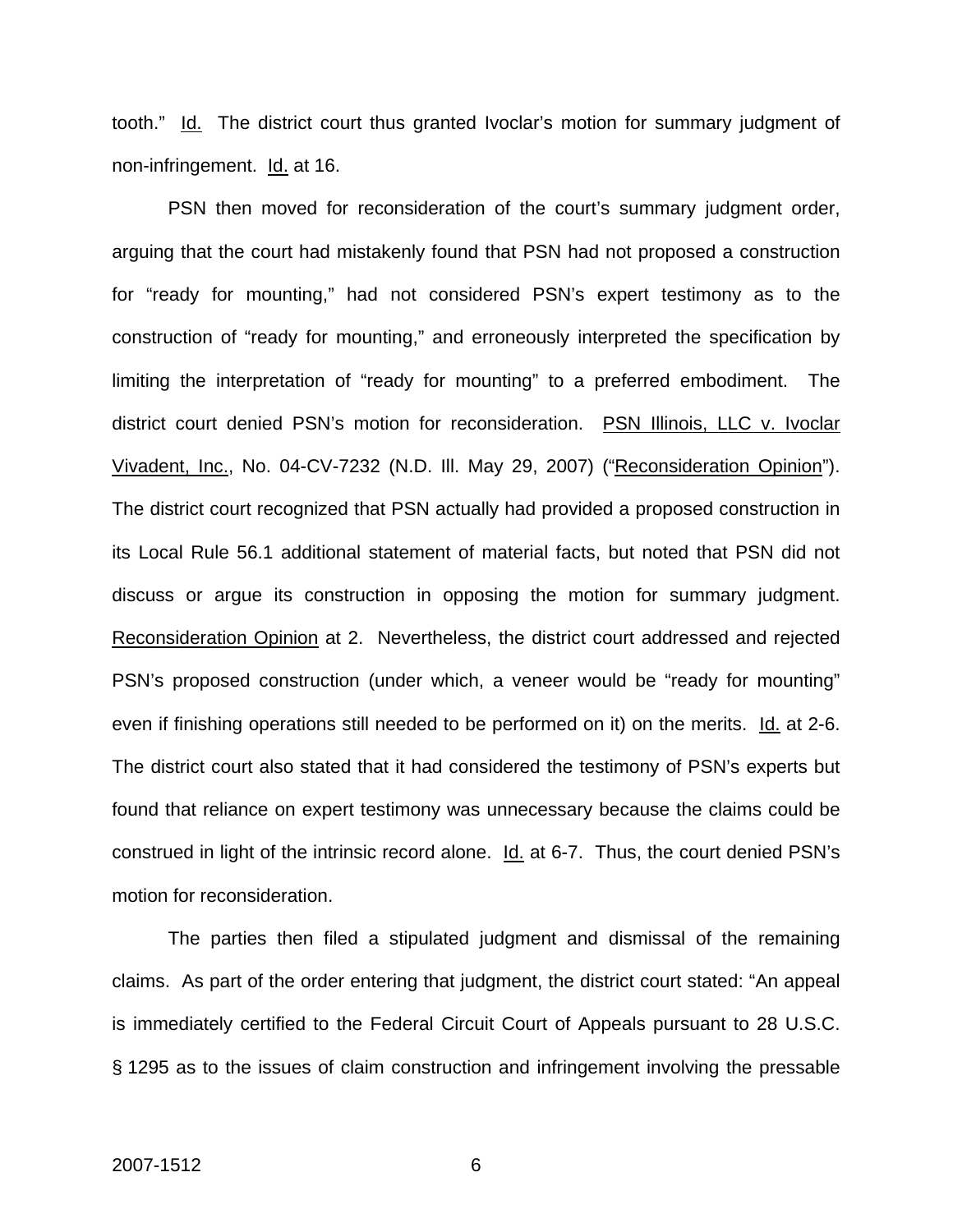tooth." Id. The district court thus granted Ivoclar's motion for summary judgment of non-infringement. Id. at 16.

 PSN then moved for reconsideration of the court's summary judgment order, arguing that the court had mistakenly found that PSN had not proposed a construction for "ready for mounting," had not considered PSN's expert testimony as to the construction of "ready for mounting," and erroneously interpreted the specification by limiting the interpretation of "ready for mounting" to a preferred embodiment. The district court denied PSN's motion for reconsideration. PSN Illinois, LLC v. Ivoclar Vivadent, Inc., No. 04-CV-7232 (N.D. Ill. May 29, 2007) ("Reconsideration Opinion"). The district court recognized that PSN actually had provided a proposed construction in its Local Rule 56.1 additional statement of material facts, but noted that PSN did not discuss or argue its construction in opposing the motion for summary judgment. Reconsideration Opinion at 2. Nevertheless, the district court addressed and rejected PSN's proposed construction (under which, a veneer would be "ready for mounting" even if finishing operations still needed to be performed on it) on the merits. Id. at 2-6. The district court also stated that it had considered the testimony of PSN's experts but found that reliance on expert testimony was unnecessary because the claims could be construed in light of the intrinsic record alone. Id. at 6-7. Thus, the court denied PSN's motion for reconsideration.

The parties then filed a stipulated judgment and dismissal of the remaining claims. As part of the order entering that judgment, the district court stated: "An appeal is immediately certified to the Federal Circuit Court of Appeals pursuant to 28 U.S.C. § 1295 as to the issues of claim construction and infringement involving the pressable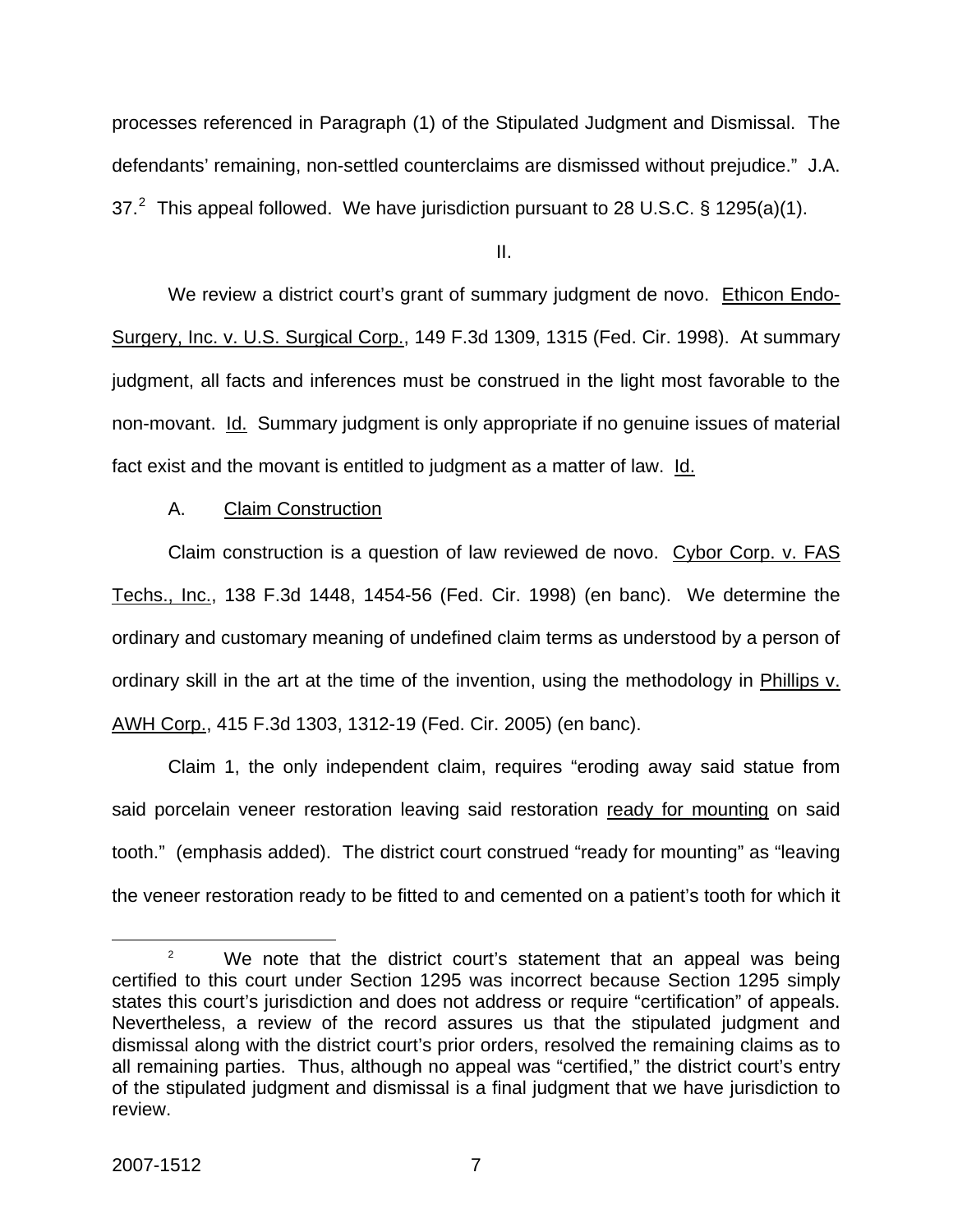processes referenced in Paragraph (1) of the Stipulated Judgment and Dismissal. The defendants' remaining, non-settled counterclaims are dismissed without prejudice." J.A. 37.<sup>[2](#page-7-0)</sup> This appeal followed. We have jurisdiction pursuant to 28 U.S.C. § 1295(a)(1).

II.

 We review a district court's grant of summary judgment de novo. Ethicon Endo-Surgery, Inc. v. U.S. Surgical Corp., 149 F.3d 1309, 1315 (Fed. Cir. 1998). At summary judgment, all facts and inferences must be construed in the light most favorable to the non-movant. Id. Summary judgment is only appropriate if no genuine issues of material fact exist and the movant is entitled to judgment as a matter of law. Id.

A. Claim Construction

Claim construction is a question of law reviewed de novo. Cybor Corp. v. FAS Techs., Inc., 138 F.3d 1448, 1454-56 (Fed. Cir. 1998) (en banc). We determine the ordinary and customary meaning of undefined claim terms as understood by a person of ordinary skill in the art at the time of the invention, using the methodology in Phillips v. AWH Corp., 415 F.3d 1303, 1312-19 (Fed. Cir. 2005) (en banc).

 Claim 1, the only independent claim, requires "eroding away said statue from said porcelain veneer restoration leaving said restoration ready for mounting on said tooth." (emphasis added). The district court construed "ready for mounting" as "leaving the veneer restoration ready to be fitted to and cemented on a patient's tooth for which it

<span id="page-7-0"></span> $\begin{array}{c|c}\n\hline\n\text{2}\n\end{array}$  We note that the district court's statement that an appeal was being certified to this court under Section 1295 was incorrect because Section 1295 simply states this court's jurisdiction and does not address or require "certification" of appeals. Nevertheless, a review of the record assures us that the stipulated judgment and dismissal along with the district court's prior orders, resolved the remaining claims as to all remaining parties. Thus, although no appeal was "certified," the district court's entry of the stipulated judgment and dismissal is a final judgment that we have jurisdiction to review.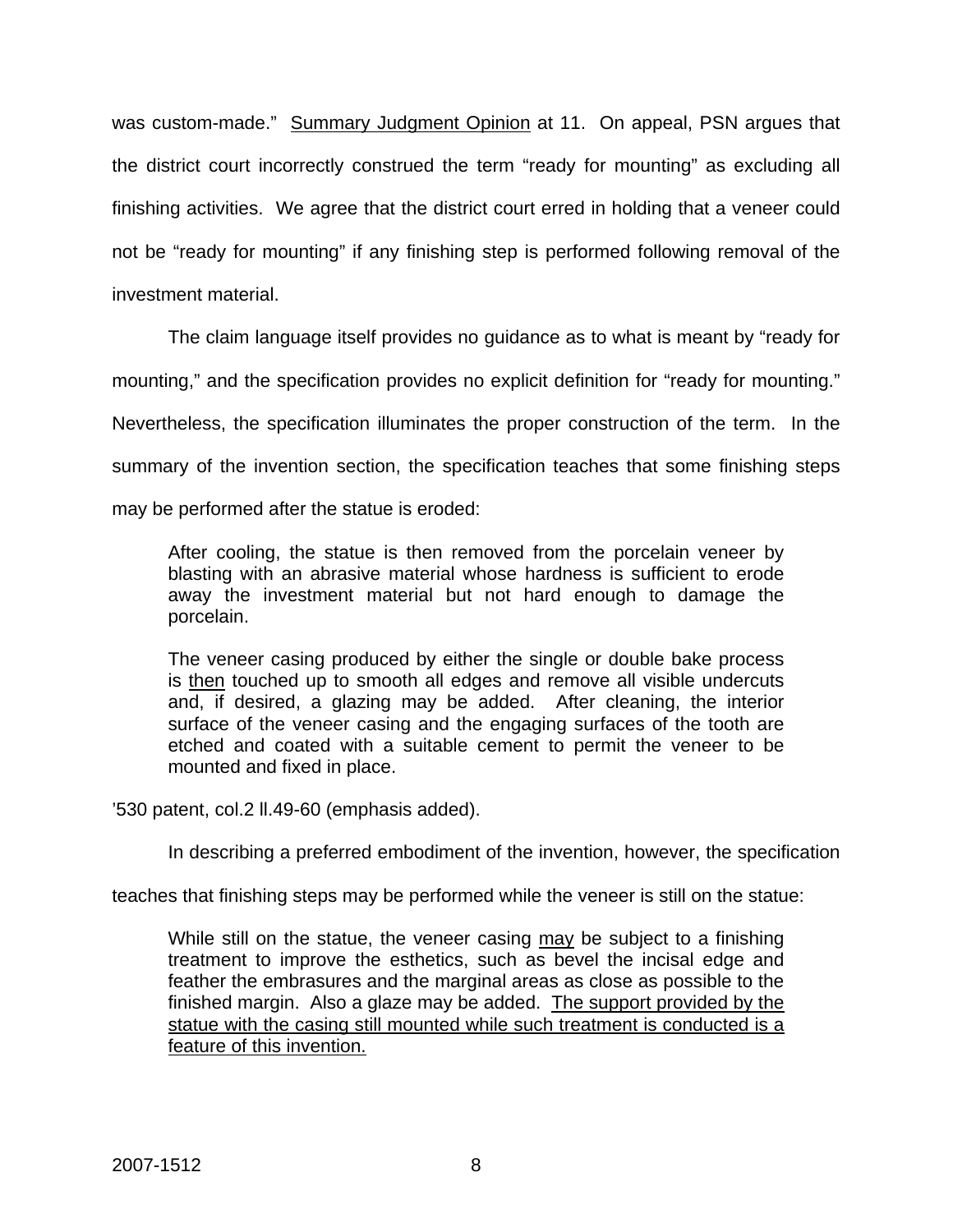was custom-made." Summary Judgment Opinion at 11. On appeal, PSN argues that the district court incorrectly construed the term "ready for mounting" as excluding all finishing activities. We agree that the district court erred in holding that a veneer could not be "ready for mounting" if any finishing step is performed following removal of the investment material.

The claim language itself provides no guidance as to what is meant by "ready for mounting," and the specification provides no explicit definition for "ready for mounting." Nevertheless, the specification illuminates the proper construction of the term. In the summary of the invention section, the specification teaches that some finishing steps may be performed after the statue is eroded:

After cooling, the statue is then removed from the porcelain veneer by blasting with an abrasive material whose hardness is sufficient to erode away the investment material but not hard enough to damage the porcelain.

The veneer casing produced by either the single or double bake process is then touched up to smooth all edges and remove all visible undercuts and, if desired, a glazing may be added. After cleaning, the interior surface of the veneer casing and the engaging surfaces of the tooth are etched and coated with a suitable cement to permit the veneer to be mounted and fixed in place.

'530 patent, col.2 ll.49-60 (emphasis added).

In describing a preferred embodiment of the invention, however, the specification

teaches that finishing steps may be performed while the veneer is still on the statue:

While still on the statue, the veneer casing may be subject to a finishing treatment to improve the esthetics, such as bevel the incisal edge and feather the embrasures and the marginal areas as close as possible to the finished margin. Also a glaze may be added. The support provided by the statue with the casing still mounted while such treatment is conducted is a feature of this invention.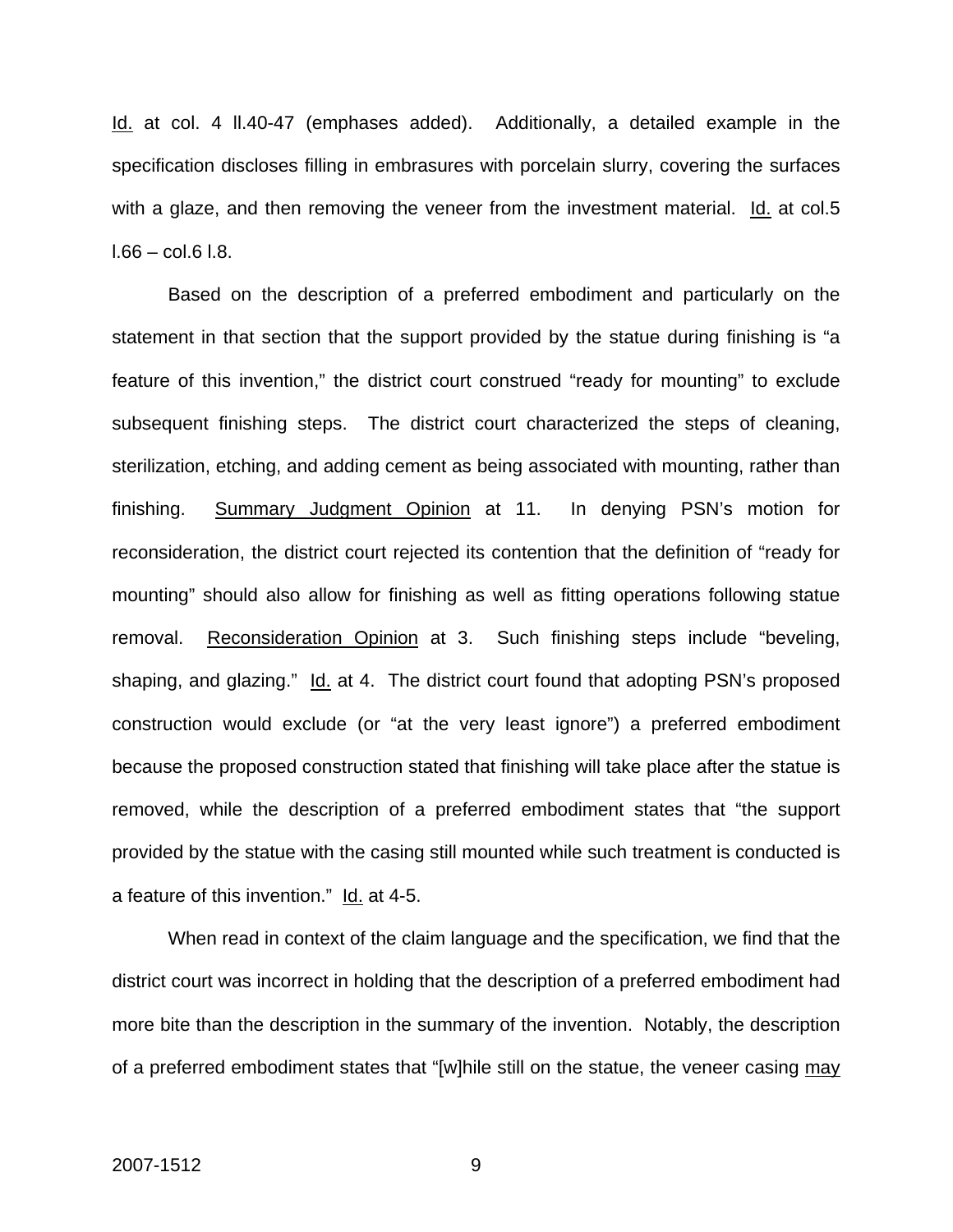Id. at col. 4 ll.40-47 (emphases added). Additionally, a detailed example in the specification discloses filling in embrasures with porcelain slurry, covering the surfaces with a glaze, and then removing the veneer from the investment material. Id. at col.5  $1.66 - \text{col}.6$   $1.8$ .

 Based on the description of a preferred embodiment and particularly on the statement in that section that the support provided by the statue during finishing is "a feature of this invention," the district court construed "ready for mounting" to exclude subsequent finishing steps. The district court characterized the steps of cleaning, sterilization, etching, and adding cement as being associated with mounting, rather than finishing. Summary Judgment Opinion at 11. In denying PSN's motion for reconsideration, the district court rejected its contention that the definition of "ready for mounting" should also allow for finishing as well as fitting operations following statue removal. Reconsideration Opinion at 3. Such finishing steps include "beveling, shaping, and glazing." Id. at 4. The district court found that adopting PSN's proposed construction would exclude (or "at the very least ignore") a preferred embodiment because the proposed construction stated that finishing will take place after the statue is removed, while the description of a preferred embodiment states that "the support provided by the statue with the casing still mounted while such treatment is conducted is a feature of this invention." Id. at 4-5.

When read in context of the claim language and the specification, we find that the district court was incorrect in holding that the description of a preferred embodiment had more bite than the description in the summary of the invention. Notably, the description of a preferred embodiment states that "[w]hile still on the statue, the veneer casing may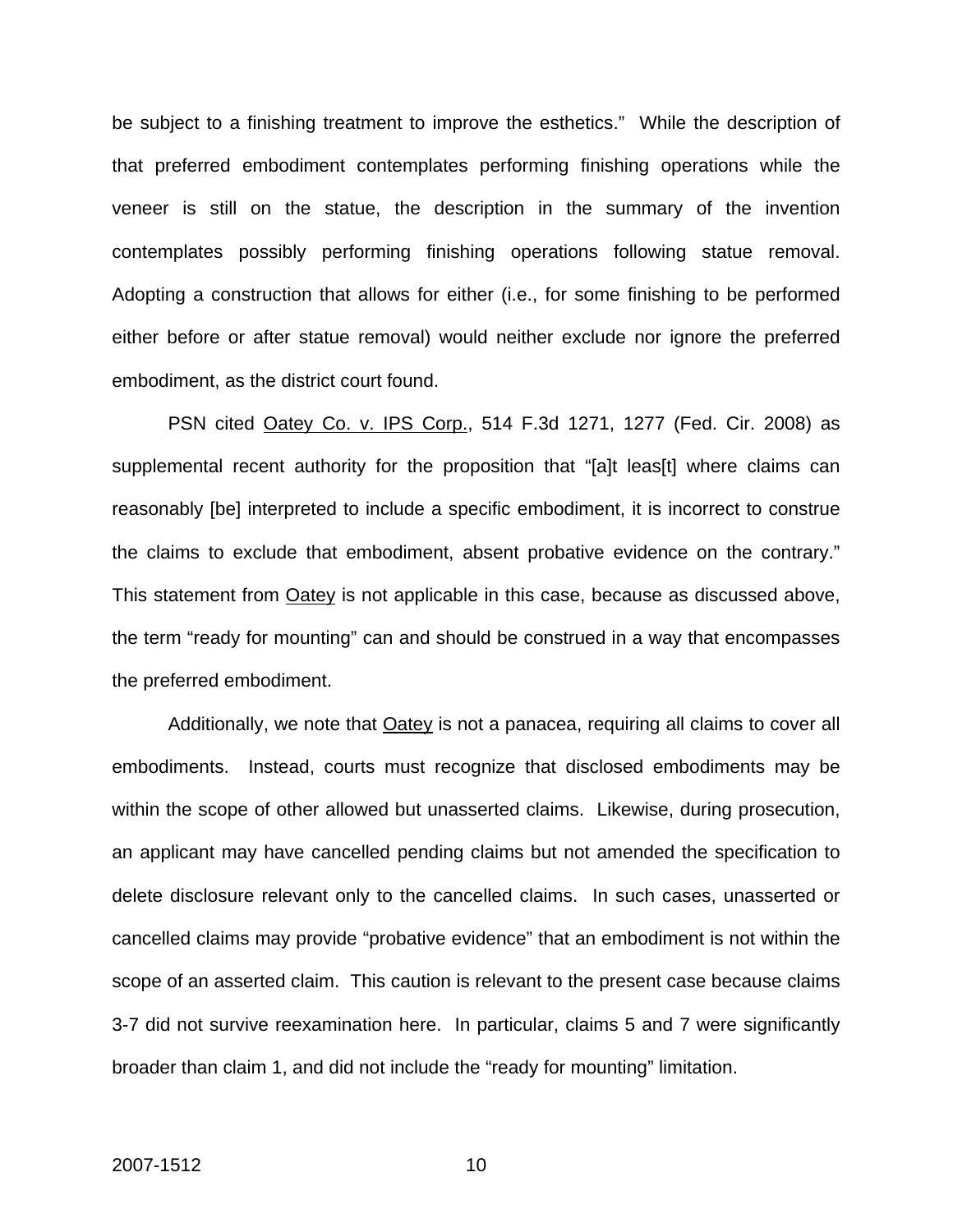be subject to a finishing treatment to improve the esthetics." While the description of that preferred embodiment contemplates performing finishing operations while the veneer is still on the statue, the description in the summary of the invention contemplates possibly performing finishing operations following statue removal. Adopting a construction that allows for either (i.e., for some finishing to be performed either before or after statue removal) would neither exclude nor ignore the preferred embodiment, as the district court found.

PSN cited Oatey Co. v. IPS Corp., 514 F.3d 1271, 1277 (Fed. Cir. 2008) as supplemental recent authority for the proposition that "[a]t leas[t] where claims can reasonably [be] interpreted to include a specific embodiment, it is incorrect to construe the claims to exclude that embodiment, absent probative evidence on the contrary." This statement from Oatey is not applicable in this case, because as discussed above, the term "ready for mounting" can and should be construed in a way that encompasses the preferred embodiment.

Additionally, we note that **Oatey** is not a panacea, requiring all claims to cover all embodiments. Instead, courts must recognize that disclosed embodiments may be within the scope of other allowed but unasserted claims. Likewise, during prosecution, an applicant may have cancelled pending claims but not amended the specification to delete disclosure relevant only to the cancelled claims. In such cases, unasserted or cancelled claims may provide "probative evidence" that an embodiment is not within the scope of an asserted claim. This caution is relevant to the present case because claims 3-7 did not survive reexamination here. In particular, claims 5 and 7 were significantly broader than claim 1, and did not include the "ready for mounting" limitation.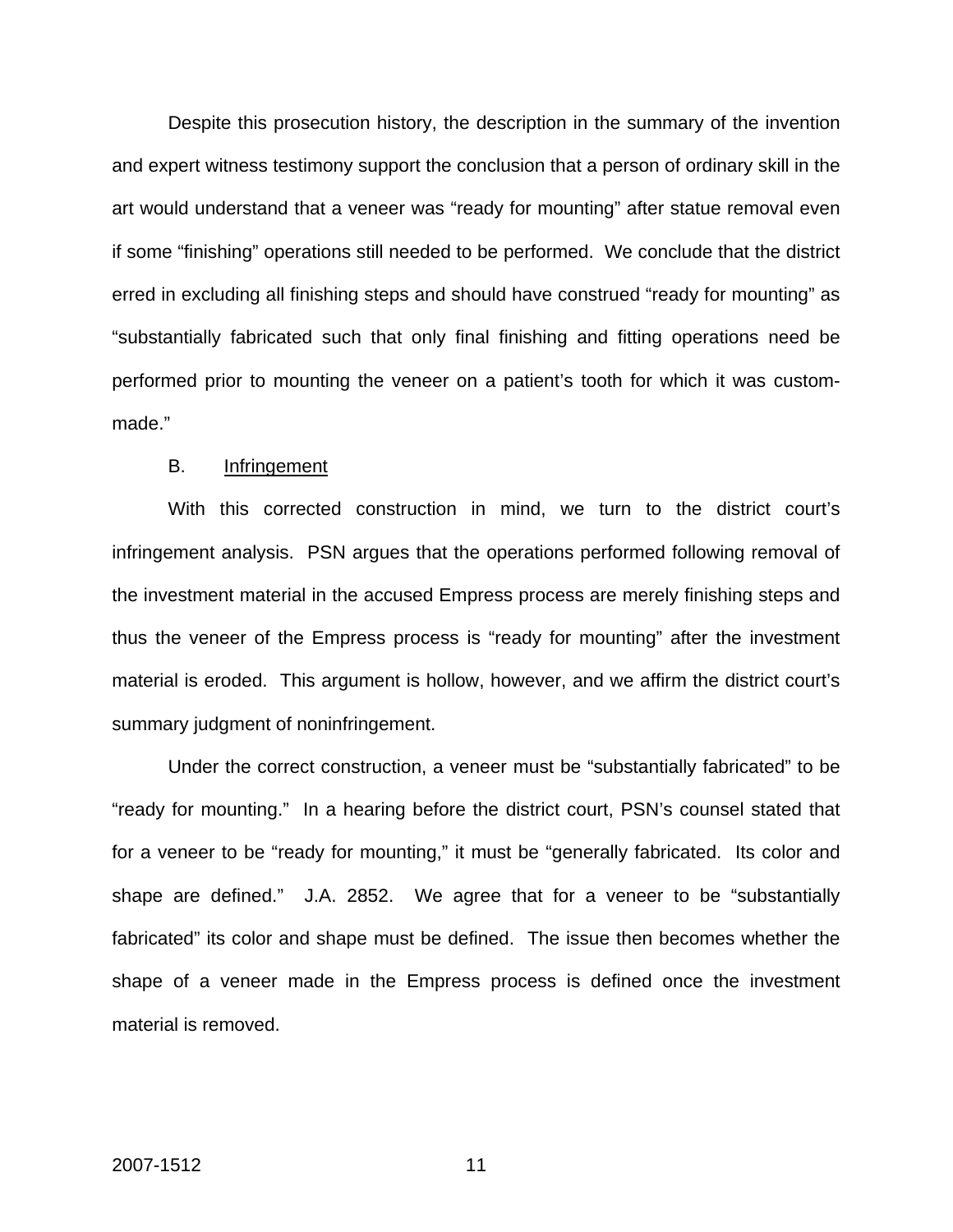Despite this prosecution history, the description in the summary of the invention and expert witness testimony support the conclusion that a person of ordinary skill in the art would understand that a veneer was "ready for mounting" after statue removal even if some "finishing" operations still needed to be performed. We conclude that the district erred in excluding all finishing steps and should have construed "ready for mounting" as "substantially fabricated such that only final finishing and fitting operations need be performed prior to mounting the veneer on a patient's tooth for which it was custommade."

### B. Infringement

 With this corrected construction in mind, we turn to the district court's infringement analysis. PSN argues that the operations performed following removal of the investment material in the accused Empress process are merely finishing steps and thus the veneer of the Empress process is "ready for mounting" after the investment material is eroded. This argument is hollow, however, and we affirm the district court's summary judgment of noninfringement.

Under the correct construction, a veneer must be "substantially fabricated" to be "ready for mounting." In a hearing before the district court, PSN's counsel stated that for a veneer to be "ready for mounting," it must be "generally fabricated. Its color and shape are defined." J.A. 2852. We agree that for a veneer to be "substantially fabricated" its color and shape must be defined. The issue then becomes whether the shape of a veneer made in the Empress process is defined once the investment material is removed.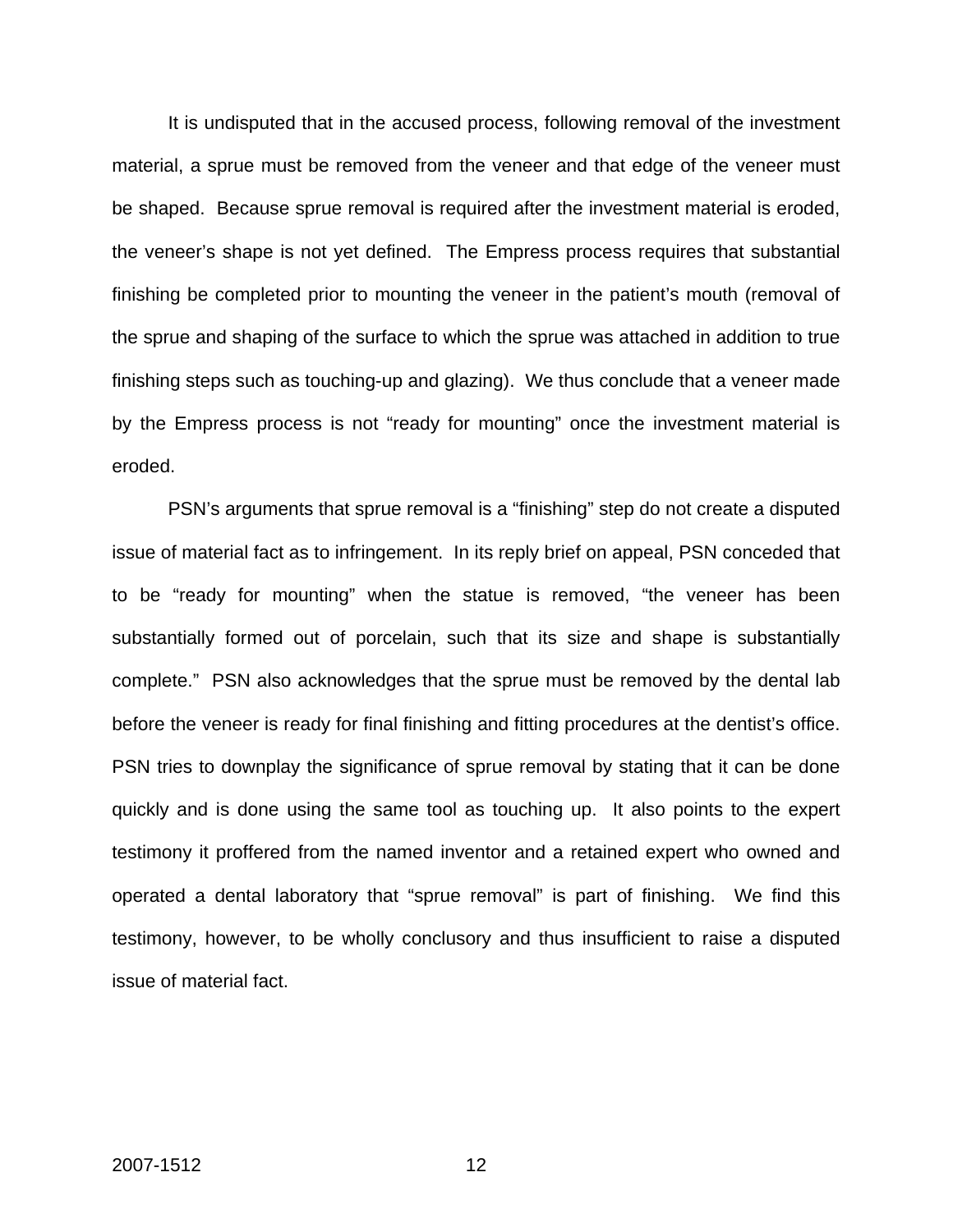It is undisputed that in the accused process, following removal of the investment material, a sprue must be removed from the veneer and that edge of the veneer must be shaped. Because sprue removal is required after the investment material is eroded, the veneer's shape is not yet defined. The Empress process requires that substantial finishing be completed prior to mounting the veneer in the patient's mouth (removal of the sprue and shaping of the surface to which the sprue was attached in addition to true finishing steps such as touching-up and glazing). We thus conclude that a veneer made by the Empress process is not "ready for mounting" once the investment material is eroded.

PSN's arguments that sprue removal is a "finishing" step do not create a disputed issue of material fact as to infringement. In its reply brief on appeal, PSN conceded that to be "ready for mounting" when the statue is removed, "the veneer has been substantially formed out of porcelain, such that its size and shape is substantially complete." PSN also acknowledges that the sprue must be removed by the dental lab before the veneer is ready for final finishing and fitting procedures at the dentist's office. PSN tries to downplay the significance of sprue removal by stating that it can be done quickly and is done using the same tool as touching up. It also points to the expert testimony it proffered from the named inventor and a retained expert who owned and operated a dental laboratory that "sprue removal" is part of finishing. We find this testimony, however, to be wholly conclusory and thus insufficient to raise a disputed issue of material fact.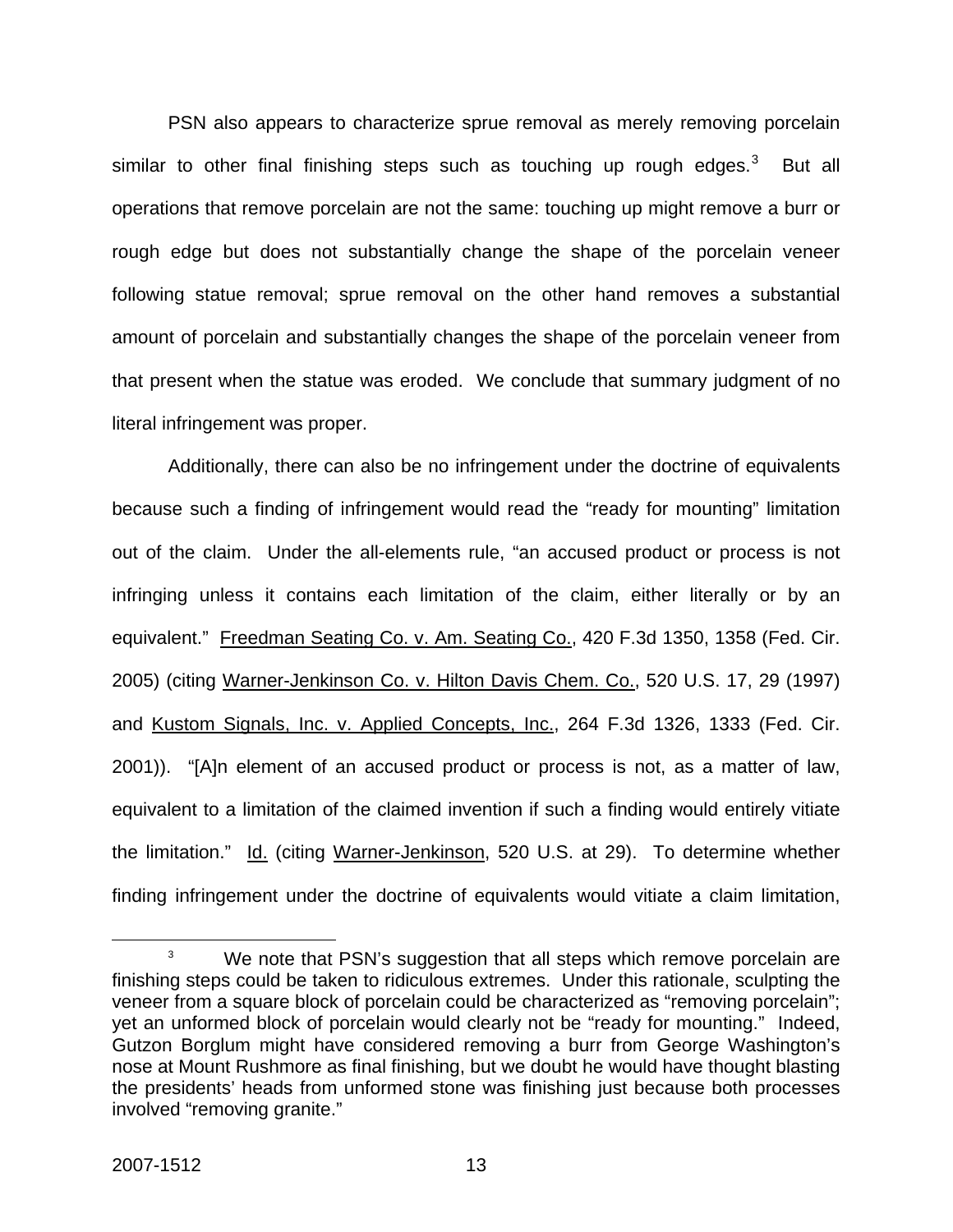PSN also appears to characterize sprue removal as merely removing porcelain similar to other final finishing steps such as touching up rough edges.<sup>[3](#page-13-0)</sup> But all operations that remove porcelain are not the same: touching up might remove a burr or rough edge but does not substantially change the shape of the porcelain veneer following statue removal; sprue removal on the other hand removes a substantial amount of porcelain and substantially changes the shape of the porcelain veneer from that present when the statue was eroded. We conclude that summary judgment of no literal infringement was proper.

Additionally, there can also be no infringement under the doctrine of equivalents because such a finding of infringement would read the "ready for mounting" limitation out of the claim. Under the all-elements rule, "an accused product or process is not infringing unless it contains each limitation of the claim, either literally or by an equivalent." Freedman Seating Co. v. Am. Seating Co., 420 F.3d 1350, 1358 (Fed. Cir. 2005) (citing Warner-Jenkinson Co. v. Hilton Davis Chem. Co., 520 U.S. 17, 29 (1997) and Kustom Signals, Inc. v. Applied Concepts, Inc., 264 F.3d 1326, 1333 (Fed. Cir. 2001)). "[A]n element of an accused product or process is not, as a matter of law, equivalent to a limitation of the claimed invention if such a finding would entirely vitiate the limitation." Id. (citing Warner-Jenkinson, 520 U.S. at 29). To determine whether finding infringement under the doctrine of equivalents would vitiate a claim limitation,

<span id="page-13-0"></span> $\overline{\phantom{a}}$  3 We note that PSN's suggestion that all steps which remove porcelain are finishing steps could be taken to ridiculous extremes. Under this rationale, sculpting the veneer from a square block of porcelain could be characterized as "removing porcelain"; yet an unformed block of porcelain would clearly not be "ready for mounting." Indeed, Gutzon Borglum might have considered removing a burr from George Washington's nose at Mount Rushmore as final finishing, but we doubt he would have thought blasting the presidents' heads from unformed stone was finishing just because both processes involved "removing granite."